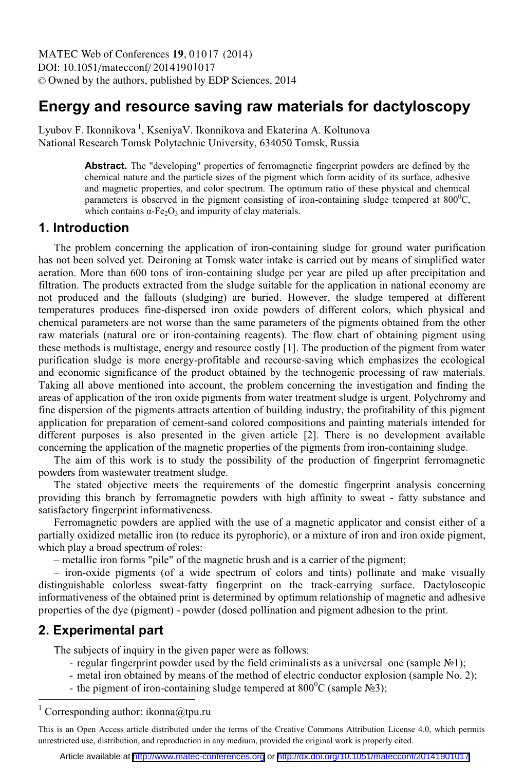DOI: 10.1051/matecconf/ 20141901017 -<sup>C</sup> Owned by the authors, published by EDP Sciences, 2014 MATEC Web of Conferences **19**, 01017 (2014)

# **Energy and resource saving raw materials for dactyloscopy**

Lyubov F. Ikonnikova<sup>1</sup>, Kseniya V. Ikonnikova and Ekaterina A. Koltunova National Research Tomsk Polytechnic University, 634050 Tomsk, Russia

> **Abstract.** The "developing" properties of ferromagnetic fingerprint powders are defined by the chemical nature and the particle sizes of the pigment which form acidity of its surface, adhesive and magnetic properties, and color spectrum. The optimum ratio of these physical and chemical parameters is observed in the pigment consisting of iron-containing sludge tempered at  $800^{\circ}$ C, which contains  $\alpha$ -Fe<sub>2</sub>O<sub>3</sub> and impurity of clay materials.

#### **1. Introduction**

The problem concerning the application of iron-containing sludge for ground water purification has not been solved yet. Deironing at Tomsk water intake is carried out by means of simplified water aeration. More than 600 tons of iron-containing sludge per year are piled up after precipitation and filtration. The products extracted from the sludge suitable for the application in national economy are not produced and the fallouts (sludging) are buried. However, the sludge tempered at different temperatures produces fine-dispersed iron oxide powders of different colors, which physical and chemical parameters are not worse than the same parameters of the pigments obtained from the other raw materials (natural ore or iron-containing reagents). The flow chart of obtaining pigment using these methods is multistage, energy and resource costly [1]. The production of the pigment from water purification sludge is more energy-profitable and recourse-saving which emphasizes the ecological and economic significance of the product obtained by the technogenic processing of raw materials. Taking all above mentioned into account, the problem concerning the investigation and finding the areas of application of the iron oxide pigments from water treatment sludge is urgent. Polychromy and fine dispersion of the pigments attracts attention of building industry, the profitability of this pigment application for preparation of cement-sand colored compositions and painting materials intended for different purposes is also presented in the given article [2]. There is no development available concerning the application of the magnetic properties of the pigments from iron-containing sludge.

The aim of this work is to study the possibility of the production of fingerprint ferromagnetic powders from wastewater treatment sludge.

The stated objective meets the requirements of the domestic fingerprint analysis concerning providing this branch by ferromagnetic powders with high affinity to sweat - fatty substance and satisfactory fingerprint informativeness.

Ferromagnetic powders are applied with the use of a magnetic applicator and consist either of a partially oxidized metallic iron (to reduce its pyrophoric), or a mixture of iron and iron oxide pigment, which play a broad spectrum of roles:

– metallic iron forms "pile" of the magnetic brush and is a carrier of the pigment;

– iron-oxide pigments (of a wide spectrum of colors and tints) pollinate and make visually distinguishable colorless sweat-fatty fingerprint on the track-carrying surface. Dactyloscopic informativeness of the obtained print is determined by optimum relationship of magnetic and adhesive properties of the dye (pigment) - powder (dosed pollination and pigment adhesion to the print.

### **2. Experimental part**

The subjects of inquiry in the given paper were as follows:

- regular fingerprint powder used by the field criminalists as a universal one (sample №1);
- metal iron obtained by means of the method of electric conductor explosion (sample No. 2);
- the pigment of iron-containing sludge tempered at  $800^{\circ}$ C (sample №3);

This is an Open Access article distributed under the terms of the Creative Commons Attribution License 4.0, which permits unrestricted use, distribution, and reproduction in any medium, provided the original work is properly cited.

Article available at <http://www.matec-conferences.org> or <http://dx.doi.org/10.1051/matecconf/20141901017>

<sup>1</sup> Corresponding author: ikonna@tpu.ru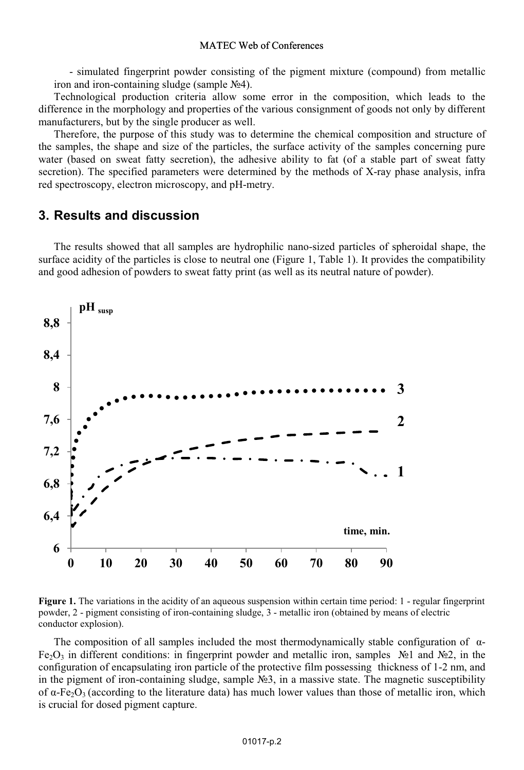- simulated fingerprint powder consisting of the pigment mixture (compound) from metallic iron and iron-containing sludge (sample №4).

Technological production criteria allow some error in the composition, which leads to the difference in the morphology and properties of the various consignment of goods not only by different manufacturers, but by the single producer as well.

Therefore, the purpose of this study was to determine the chemical composition and structure of the samples, the shape and size of the particles, the surface activity of the samples concerning pure water (based on sweat fatty secretion), the adhesive ability to fat (of a stable part of sweat fatty secretion). The specified parameters were determined by the methods of X-ray phase analysis, infra red spectroscopy, electron microscopy, and pH-metry.

#### **3. Results and discussion**

The results showed that all samples are hydrophilic nano-sized particles of spheroidal shape, the surface acidity of the particles is close to neutral one (Figure 1, Table 1). It provides the compatibility and good adhesion of powders to sweat fatty print (as well as its neutral nature of powder).



**Figure 1.** The variations in the acidity of an aqueous suspension within certain time period: 1 - regular fingerprint powder, 2 - pigment consisting of iron-containing sludge, 3 - metallic iron (obtained by means of electric conductor explosion).

The composition of all samples included the most thermodynamically stable configuration of  $\alpha$ -Fe<sub>2</sub>O<sub>3</sub> in different conditions: in fingerprint powder and metallic iron, samples  $\mathbb{N}$ <sup>01</sup> and  $\mathbb{N}$ <sup>0</sup><sub>2</sub>, in the configuration of encapsulating iron particle of the protective film possessing thickness of 1-2 nm, and in the pigment of iron-containing sludge, sample №3, in a massive state. The magnetic susceptibility of α-Fe<sub>2</sub>O<sub>3</sub> (according to the literature data) has much lower values than those of metallic iron, which is crucial for dosed pigment capture.